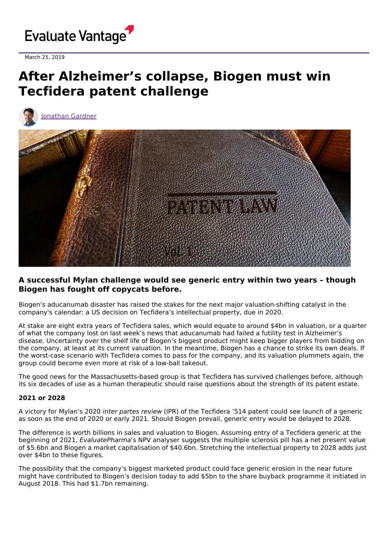

March 25, 2019

# **After Alzheimer's collapse, Biogen must win Tecfidera patent challenge**



[Jonathan](https://www.evaluate.com/vantage/editorial-team/jonathan-gardner) Gardner



# **A successful Mylan challenge would see generic entry within two years – though Biogen has fought off copycats before.**

Biogen's aducanumab disaster has raised the stakes for the next major valuation-shifting catalyst in the company's calendar: a US decision on Tecfidera's intellectual property, due in 2020.

At stake are eight extra years of Tecfidera sales, which would equate to around \$4bn in valuation, or a quarter of what the company lost on last week's news that aducanumab had failed a futility test in Alzheimer's disease. Uncertainty over the shelf life of Biogen's biggest product might keep bigger players from bidding on the company, at least at its current valuation. In the meantime, Biogen has a chance to strike its own deals. If the worst-case scenario with Tecfidera comes to pass for the company, and its valuation plummets again, the group could become even more at risk of a low-ball takeout.

The good news for the Massachusetts-based group is that Tecfidera has survived challenges before, although its six decades of use as a human therapeutic should raise questions about the strength of its patent estate.

## **2021 or 2028**

A victory for Mylan's 2020 inter partes review (IPR) of the Tecfidera '514 patent could see launch of a generic as soon as the end of 2020 or early 2021. Should Biogen prevail, generic entry would be delayed to 2028.

The difference is worth billions in sales and valuation to Biogen. Assuming entry of a Tecfidera generic at the beginning of 2021, EvaluatePharma's NPV analyser suggests the multiple sclerosis pill has a net present value of \$5.6bn and Biogen a market capitalisation of \$40.6bn. Stretching the intellectual property to 2028 adds just over \$4bn to these figures.

The possibility that the company's biggest marketed product could face generic erosion in the near future might have contributed to Biogen's decision today to add \$5bn to the share buyback programme it initiated in August 2018. This had \$1.7bn remaining.